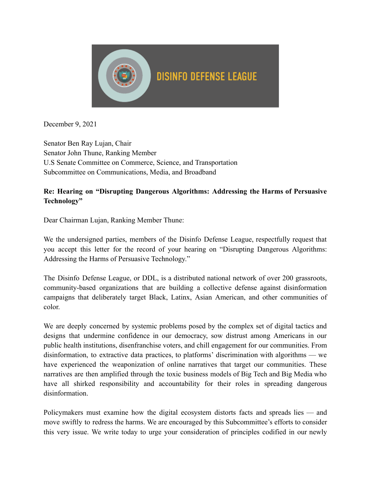

December 9, 2021

 Senator Ben Ray Lujan, Chair Senator John Thune, Ranking Member U.S Senate Committee on Commerce, Science, and Transportation Subcommittee on Communications, Media, and Broadband

#### **Re: Hearing on "Disrupting Dangerous Algorithms: Addressing the Harms of Persuasive Technology"**

Dear Chairman Lujan, Ranking Member Thune:

 We the undersigned parties, members of the Disinfo Defense League, respectfully request that you accept this letter for the record of your hearing on "Disrupting Dangerous Algorithms: Addressing the Harms of Persuasive Technology."

 The Disinfo Defense League, or DDL, is a distributed national network of over 200 grassroots, community-based organizations that are building a collective defense against disinformation campaigns that deliberately target Black, Latinx, Asian American, and other communities of color.

 We are deeply concerned by systemic problems posed by the complex set of digital tactics and designs that undermine confidence in our democracy, sow distrust among Americans in our public health institutions, disenfranchise voters, and chill engagement for our communities. From disinformation, to extractive data practices, to platforms' discrimination with algorithms — we have experienced the weaponization of online narratives that target our communities. These narratives are then amplified through the toxic business models of Big Tech and Big Media who have all shirked responsibility and accountability for their roles in spreading dangerous disinformation.

 Policymakers must examine how the digital ecosystem distorts facts and spreads lies — and move swiftly to redress the harms. We are encouraged by this Subcommittee's efforts to consider this very issue. We write today to urge your consideration of principles codified in our newly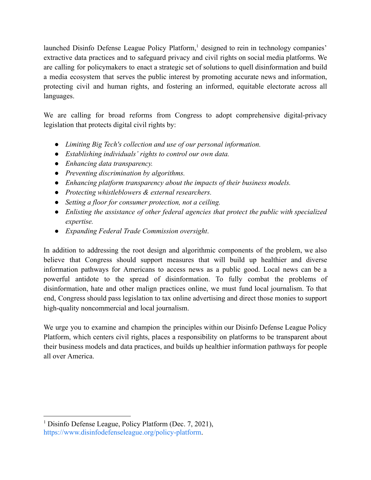launched Disinfo Defense League Policy Platform,<sup>1</sup> designed to rein in technology companies' extractive data practices and to safeguard privacy and civil rights on social media platforms. We are calling for policymakers to enact a strategic set of solutions to quell disinformation and build a media ecosystem that serves the public interest by promoting accurate news and information, protecting civil and human rights, and fostering an informed, equitable electorate across all languages.

 We are calling for broad reforms from Congress to adopt comprehensive digital-privacy legislation that protects digital civil rights by:

- *Limiting Big Tech's collection and use of our personal information.*
- *Establishing individuals' rights to control our own data.*
- *Enhancing data transparency.*
- *Preventing discrimination by algorithms.*
- *Enhancing platform transparency about the impacts of their business models.*
- *Protecting whistleblowers & external researchers.*
- *Setting a floor for consumer protection, not a ceiling.*
- *Enlisting the assistance of other federal agencies that protect the public with specialized expertise.*
- *Expanding Federal Trade Commission oversight* .

 In addition to addressing the root design and algorithmic components of the problem, we also believe that Congress should support measures that will build up healthier and diverse information pathways for Americans to access news as a public good. Local news can be a powerful antidote to the spread of disinformation. To fully combat the problems of disinformation, hate and other malign practices online, we must fund local journalism. To that end, Congress should pass legislation to tax online advertising and direct those monies to support high-quality noncommercial and local journalism.

 We urge you to examine and champion the principles within our Disinfo Defense League Policy Platform, which centers civil rights, places a responsibility on platforms to be transparent about their business models and data practices, and builds up healthier information pathways for people all over America.

<sup>&</sup>lt;sup>1</sup> Disinfo Defense League, Policy Platform (Dec. 7, 2021), <https://www.disinfodefenseleague.org/policy-platform>.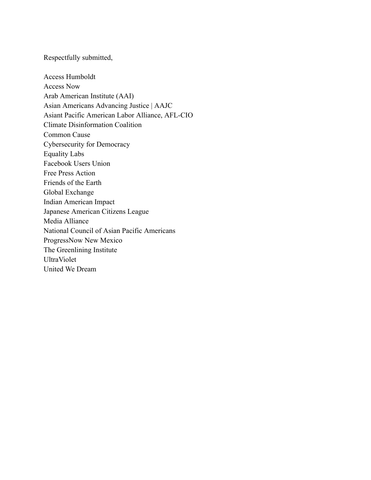Respectfully submitted,

 Access Humboldt Access Now Arab American Institute (AAI) Asian Americans Advancing Justice | AAJC Asiant Pacific American Labor Alliance, AFL-CIO Climate Disinformation Coalition Common Cause Cybersecurity for Democracy Equality Labs Facebook Users Union Free Press Action Friends of the Earth Global Exchange Indian American Impact Japanese American Citizens League Media Alliance National Council of Asian Pacific Americans ProgressNow New Mexico The Greenlining Institute UltraViolet United We Dream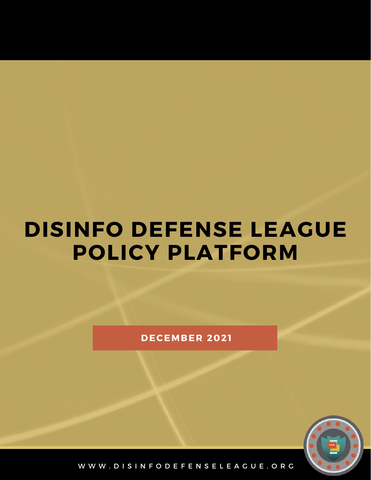# **DISINFO DEFENSE LEAGUE POLICY PLATFORM**

**D E C E M B E R 2 0 2 1**



W W W . D I S I N F O D E F E N S E L E A G U E . O R G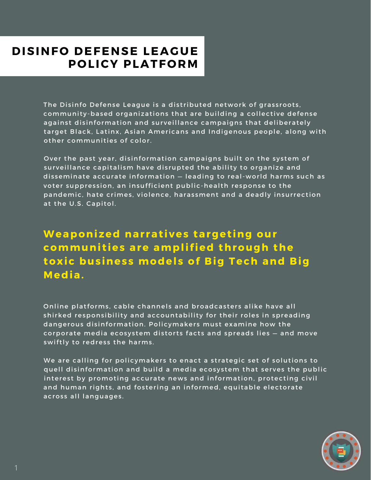#### **DISINFO DEFENSE LEAGUE POLICY PLATFORM**

The Disinfo Defense League is a distributed network of grassroots, community-based organizations that are building a collective defense against disinformation and surveillance campaigns that deliberately target Black, Latinx, Asian Americans and Indigenous people, along with other communities of color.

Over the past year, disinformation campaigns built on the system of surveillance capitalism have disrupted the ability to organize and disseminate accurate information - leading to real-world harms such as voter suppression, an insufficient public-health response to the pandemic, hate crimes, violence, harassment and a deadly insurrection at the U.S. Capitol.

**Weaponized narratives targeting our** communities are amplified through the **toxic business models of Big Tech and Big M e d i a .**

Online platforms, cable channels and broadcasters alike have all shirked responsibility and accountability for their roles in spreading dangerous disinformation. Policymakers must examine how the corporate media ecosystem distorts facts and spreads lies - and move swiftly to redress the harms.

We are calling for policymakers to enact a strategic set of solutions to quell disinformation and build a media ecosystem that serves the public interest by promoting accurate news and information, protecting civil and human rights, and fostering an informed, equitable electorate across all languages.

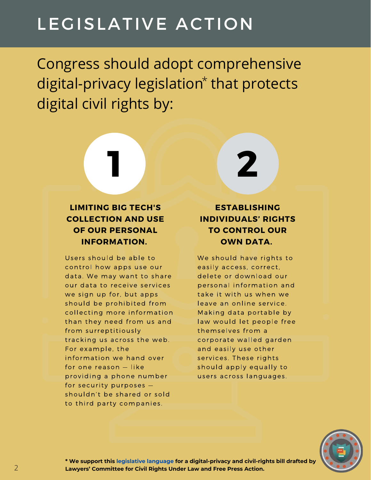## LEGISLATIVE ACTION

Congress should adopt comprehensive digital-privacy legislation<sup>\*</sup> that protects digital civil rights by:

**1 2**



Users should be able to control how apps use our data. We may want to share our data to receive services we sign up for, but apps should be prohibited from collecting more information than they need from us and from surreptitiously tracking us across the web. For example, the information we hand over for one reason - like providing a phone number for security purposes shouldn't be shared or sold to third party companies.



We should have rights to easily access, correct, delete or download our personal information and take it with us when we leave an online service. Making data portable by law would let people free themselves from a corporate walled garden and easily use other services. These rights should apply equally to users across languages.



**\* We support this [legislative language](https://www.freepress.net/sites/default/files/2019-03/online_civil_rights_and_privacy_act_of_2019.pdf) for a digital-privacy and civil-rights bill drafted by Lawyers' Committee for Civil Rights Under Law and Free Press Action.**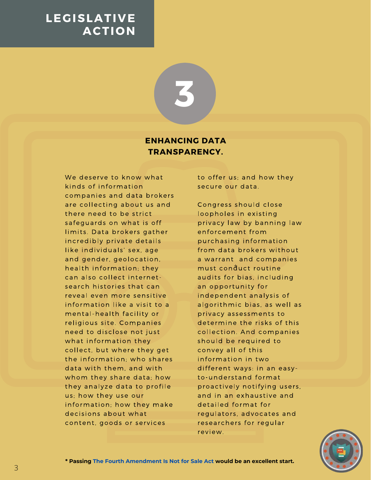**3**

#### **ENHANCING DATA TRANSPARENCY.**

We deserve to know what kinds of information companies and data brokers are collecting about us and there need to be strict safequards on what is off limits. Data brokers gather incredibly private details like individuals' sex, age and gender, geolocation, health information; they can also collect internetsearch histories that can reveal even more sensitive information like a visit to a mental-health facility or religious site. Companies need to disclose not just what information they collect, but where they get the information: who shares data with them, and with whom they share data; how they analyze data to profile us; how they use our information: how they make decisions about what content, goods or services

to offer us; and how they secure our data.

Congress should close loopholes in existing privacy law by banning law enforcement from purchasing information from data brokers without a warrant and companies must conduct routine audits for bias, including an opportunity for independent analysis of algorithmic bias, as well as privacy assessments to determine the risks of this collection. And companies should be required to convey all of this information in two different ways: in an easyto-understand format proactively notifying users, and in an exhaustive and detailed format for regulators, advocates and researchers for regular review.

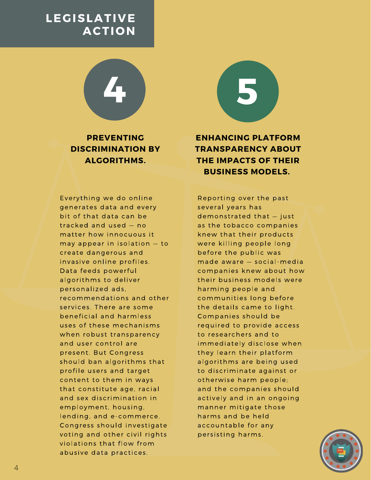**PREVENTING DISCRIMINATION BY ALGORITHMS.**

**4 5**

Everything we do online generates data and every bit of that data can be tracked and used - no matter how innocuous it may appear in isolation - to create dangerous and invasive online profiles. Data feeds powerful algorithms to deliver personalized ads. recommendations and other services. There are some beneficial and harmless uses of these mechanisms when robust transparency and user control are present. But Congress should ban algorithms that profile users and target content to them in ways that constitute age, racial and sex discrimination in employment, housing, lending, and e-commerce. Congress should investigate voting and other civil rights violations that flow from abusive data practices.

**ENHANCING PLATFORM TRANSPARENCY ABOUT THE IMPACTS OF THEIR BUSINESS MODELS.**

Reporting over the past several years has demonstrated that - just as the tobacco companies knew that their products were killing people long before the public was made aware - social-media companies knew about how their business models were harming people and communities long before the details came to light. Companies should be required to provide access to researchers and to immediately disclose when they learn their platform algorithms are being used to discriminate against or otherwise harm people; and the companies should actively and in an ongoing manner mitigate those harms and be held accountable for any persisting harms.

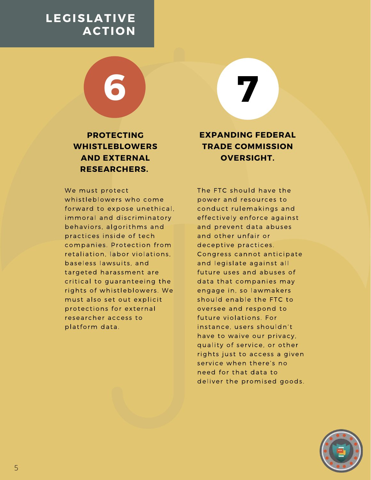**PROTECTING WHISTLEBLOWERS AND EXTERNAL RESEARCHERS.**

**6 7**

We must protect whistleblowers who come forward to expose unethical. immoral and discriminatory behaviors, algorithms and practices inside of tech companies. Protection from retaliation. labor violations. baseless lawsuits, and targeted harassment are critical to guaranteeing the rights of whistleblowers. We must also set out explicit protections for external researcher access to platform data.

**EXPANDING FEDERAL TRADE COMMISSION OVERSIGHT.**

The FTC should have the power and resources to conduct rulemakings and effectively enforce against and prevent data abuses and other unfair or deceptive practices. Congress cannot anticipate and legislate against all future uses and abuses of data that companies may engage in, so lawmakers should enable the FTC to oversee and respond to future violations. For instance, users shouldn't have to waive our privacy, quality of service, or other rights just to access a given service when there's no need for that data to deliver the promised goods.

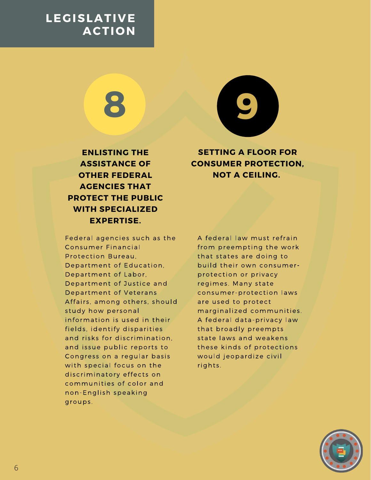

**ENLISTING THE ASSISTANCE OF OTHER FEDERAL AGENCIES THAT PROTECT THE PUBLIC WITH SPECIALIZED EXPERTISE.**

**SETTING A FLOOR FOR CONSUMER PROTECTION, NOT A CEILING.**

Federal agencies such as the **Consumer Financial** Protection Bureau. Department of Education. Department of Labor. Department of Justice and Department of Veterans Affairs, among others, should study how personal information is used in their fields, identify disparities and risks for discrimination. and issue public reports to Congress on a regular basis with special focus on the discriminatory effects on communities of color and non-English speaking groups.

A federal law must refrain from preempting the work that states are doing to build their own consumerprotection or privacy regimes. Many state consumer-protection laws are used to protect marginalized communities. A federal data-privacy law that broadly preempts state laws and weakens these kinds of protections would jeopardize civil rights.

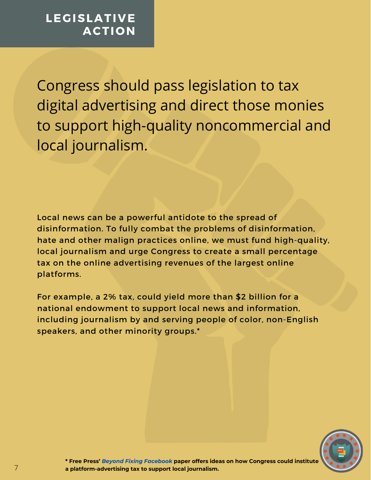Congress should pass legislation to tax digital advertising and direct those monies to support high-quality noncommercial and local journalism.

Local news can be a powerful antidote to the spread of disinformation. To fully combat the problems of disinformation, hate and other malign practices online, we must fund high-quality, local journalism and urge Congress to create a small percentage tax on the online advertising revenues of the largest online platforms.

For example, a 2% tax, could yield more than \$2 billion for a national endowment to support local news and information, including journalism by and serving people of color, non-English speakers, and other minority groups.\*



**\* Free Press'** *[Beyond Fixing Facebook](https://www.freepress.net/sites/default/files/2019-02/Beyond-Fixing-Facebook-Final_0.pdf)* **[paper](https://www.freepress.net/sites/default/files/2019-02/Beyond-Fixing-Facebook-Final_0.pdf) offers ideas on how Congress could institute a platform-advertising tax to support local journalism.**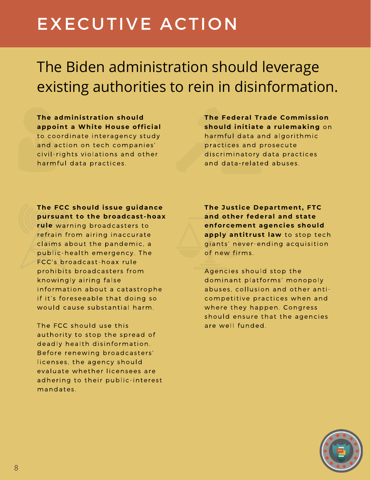# EXECUTIVE ACTION

## The Biden administration should leverage existing authorities to rein in disinformation.

**The administration should appoint a White House official** to coordinate interagency study and action on tech companies' civil-rights violations and other harmful data practices.

**The Federal Trade Commission should initiate a rulemaking** harmful data and algorithmic practices and prosecute discriminatory data practices and data-related abuses.

#### **The FCC should issue guidance pursuant to the broadcast-hoax**

rule warning broadcasters to refrain from airing inaccurate claims about the pandemic, a public-health emergency. The FCC's broadcast-hoax rule prohibits broadcasters from knowingly airing false information about a catastrophe if it's foreseeable that doing so would cause substantial harm.

The FCC should use this authority to stop the spread of deadly health disinformation. Before renewing broadcasters' licenses, the agency should evaluate whether licensees are adhering to their public-interest mandates.

**The Justice Department, FTC and other federal and state enforcement agencies should** apply antitrust law to stop tech giants' never-ending acquisition of new firms.

Agencies should stop the dominant platforms' monopoly abuses, collusion and other anticompetitive practices when and where they happen. Congress should ensure that the agencies are well funded.

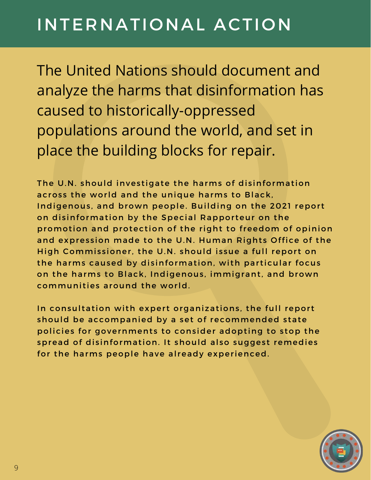# INTERNATIONAL ACTION

The United Nations should document and analyze the harms that disinformation has caused to historically-oppressed populations around the world, and set in place the building blocks for repair.

The U.N. should investigate the harms of disinformation across the world and the unique harms to Black, Indigenous, and brown people. Building on the 2021 report on disinformation by the Special Rapporteur on the promotion and protection of the right to freedom of opinion and expression made to the U.N. Human Rights Office of the High Commissioner, the U.N. should issue a full report on the harms caused by disinformation, with particular focus on the harms to Black, Indigenous, immigrant, and brown communities around the world.

In consultation with expert organizations, the full report should be accompanied by a set of recommended state policies for governments to consider adopting to stop the spread of disinformation. It should also suggest remedies for the harms people have already experienced.

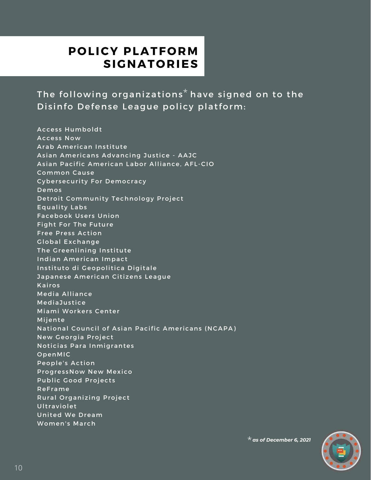#### **POLICY PLATFORM S I G N A T O R I E S**

The following organizations $^\star$  have signed on to the Disinfo Defense League policy platform:

Access Humboldt Access Now Arab American Institute Asian Americans Advancing Justice - AAJC Asian Pacific American Labor Alliance, AFL-CIO **Common Cause** Cybersecurity For Democracy De mos Detroit Community Technology Project Equality Labs Facebook Users Union Fight For The Future Free Press Action Global Exchange The Greenlining Institute Indian American Impact Instituto di Geopolitica Digitale Japanese American Citizens League **Kairos** Media Alliance Media Justice Miami Workers Center Mijente National Council of Asian Pacific Americans (NCAPA) New Georgia Project Noticias Para Inmigrantes OpenMIC People's Action ProgressNow New Mexico Public Good Projects **ReFrame** Rural Organizing Project Ultraviolet United We Dream Women's March